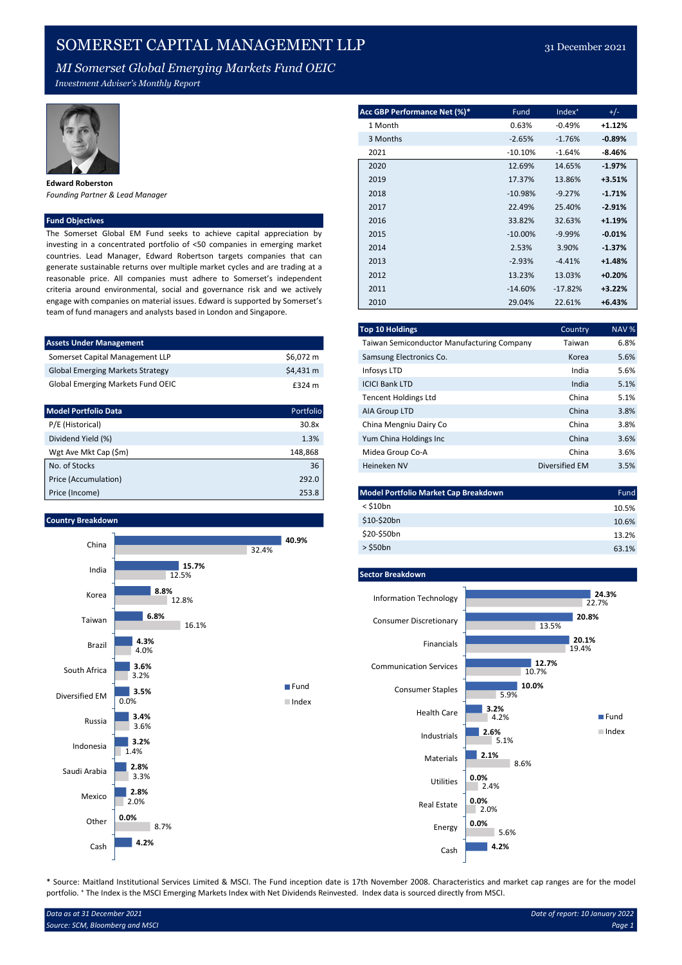## SOMERSET CAPITAL MANAGEMENT LLP 31 December 2021

Investment Adviser's Monthly Report



Edward Roberston Founding Partner & Lead Manager

The Somerset Global EM Fund seeks to achieve capital appreciation by investing in a concentrated portfolio of <50 companies in emerging market countries. Lead Manager, Edward Robertson targets companies that can generate sustainable returns over multiple market cycles and are trading at a reasonable price. All companies must adhere to Somerset's independent criteria around environmental, social and governance risk and we actively engage with companies on material issues. Edward is supported by Somerset's team of fund managers and analysts based in London and Singapore.

| <b>Assets Under Management</b>           |           |
|------------------------------------------|-----------|
| Somerset Capital Management LLP          | \$6.072 m |
| <b>Global Emerging Markets Strategy</b>  | \$4.431 m |
| <b>Global Emerging Markets Fund OEIC</b> | £324 m    |

| <b>Model Portfolio Data</b> | Portfolio | AIA Group LTD                        | China          | 3.8% |
|-----------------------------|-----------|--------------------------------------|----------------|------|
| P/E (Historical)            | 30.8x     | China Mengniu Dairy Co               | China          | 3.8% |
| Dividend Yield (%)          | 1.3%      | Yum China Holdings Inc               | China          | 3.6% |
| Wgt Ave Mkt Cap (\$m)       | 148.868   | Midea Group Co-A                     | China          | 3.6% |
| No. of Stocks               | 36        | Heineken NV                          | Diversified EM | 3.5% |
| Price (Accumulation)        | 292.0     |                                      |                |      |
| Price (Income)              | 253.8     | Model Portfolio Market Cap Breakdown |                | Fund |

## Country Breakdown



|                                                                                                                                                       | Acc GBP Performance Net (%)* | Fund       | Index <sup>+</sup> | $+/-$    |
|-------------------------------------------------------------------------------------------------------------------------------------------------------|------------------------------|------------|--------------------|----------|
|                                                                                                                                                       | 1 Month                      | 0.63%      | $-0.49%$           | $+1.12%$ |
|                                                                                                                                                       | 3 Months                     | $-2.65%$   | $-1.76%$           | $-0.89%$ |
|                                                                                                                                                       | 2021                         | $-10.10%$  | $-1.64%$           | $-8.46%$ |
|                                                                                                                                                       | 2020                         | 12.69%     | 14.65%             | $-1.97%$ |
| <b>Edward Roberston</b>                                                                                                                               | 2019                         | 17.37%     | 13.86%             | $+3.51%$ |
| Founding Partner & Lead Manager                                                                                                                       | 2018                         | $-10.98%$  | $-9.27%$           | $-1.71%$ |
|                                                                                                                                                       | 2017                         | 22.49%     | 25.40%             | $-2.91%$ |
| <b>Fund Objectives</b>                                                                                                                                | 2016                         | 33.82%     | 32.63%             | $+1.19%$ |
| The Somerset Global EM Fund seeks to achieve capital appreciation by                                                                                  | 2015                         | $-10.00\%$ | $-9.99%$           | $-0.01%$ |
| investing in a concentrated portfolio of <50 companies in emerging market                                                                             | 2014                         | 2.53%      | 3.90%              | $-1.37%$ |
| countries. Lead Manager, Edward Robertson targets companies that can<br>generate sustainable returns over multiple market cycles and are trading at a | 2013                         | $-2.93%$   | $-4.41%$           | $+1.48%$ |
| reasonable price. All companies must adhere to Somerset's independent                                                                                 | 2012                         | 13.23%     | 13.03%             | $+0.20%$ |

|                                          |           | <b>Top 10 Holdings</b>                     | Country        | NAV % |
|------------------------------------------|-----------|--------------------------------------------|----------------|-------|
| <b>Assets Under Management</b>           |           | Taiwan Semiconductor Manufacturing Company | Taiwan         |       |
| Somerset Capital Management LLP          | \$6,072 m | Samsung Electronics Co.                    | Korea          |       |
| <b>Global Emerging Markets Strategy</b>  | \$4,431 m | Infosys LTD                                | India          |       |
| <b>Global Emerging Markets Fund OEIC</b> | £324 m    | <b>ICICI Bank LTD</b>                      | India          |       |
|                                          |           | <b>Tencent Holdings Ltd</b>                | China          |       |
| <b>Model Portfolio Data</b>              | Portfolio | AIA Group LTD                              | China          |       |
| P/E (Historical)                         | 30.8x     | China Mengniu Dairy Co                     | China          |       |
| Dividend Yield (%)                       | 1.3%      | Yum China Holdings Inc                     | China          |       |
| Wgt Ave Mkt Cap (\$m)                    | 148,868   | Midea Group Co-A                           | China          |       |
| No. of Stocks                            | 36        | Heineken NV                                | Diversified EM |       |

2011 -14.60% -17.82% +3.22% 2010 29.04% 22.61% +6.43%

| Price (Income)    | 253.8 | Model Portfolio Market Cap Breakdown | Fund  |
|-------------------|-------|--------------------------------------|-------|
|                   |       | $<$ \$10 $bn$                        | 10.5% |
| Country Breakdown |       | \$10-\$20bn                          | 10.6% |
|                   | 40.9% | \$20-\$50bn                          | 13.2% |
| China             | 32.4% | $>$ \$50 $bn$                        | 63.1% |



\* Source: Maitland Institutional Services Limited & MSCI. The Fund inception date is 17th November 2008. Characteristics and market cap ranges are for the model portfolio. <sup>\*</sup> The Index is the MSCI Emerging Markets Index with Net Dividends Reinvested. Index data is sourced directly from MSCI.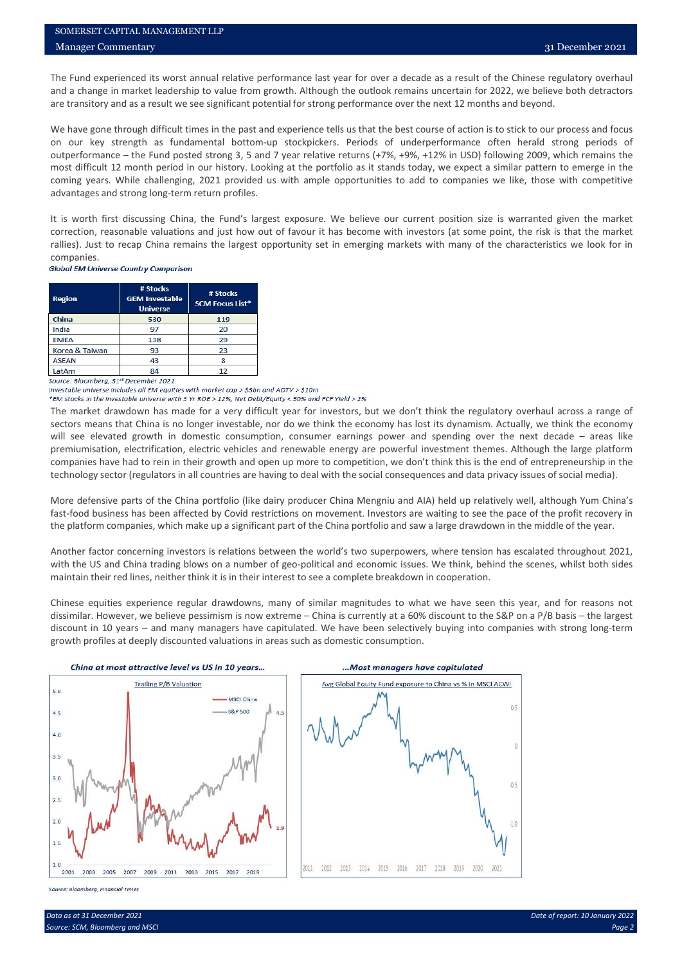SOMERSET CAPITAL MANAGEMENT LLP<br>
Manager Commentary<br>
The Fund experienced its worst annual relative performance last year for over a decade as a result of the Chinese regulatory overhaul<br>
and a change in market leadership **SOMERSET CAPITAL MANAGEMENT LLP**<br> **And a change in market leadership to value from growth.** Although the outlook remains uncertain for 2022, we believe both detractors<br>
are transitory and as a result we see significant po SOMERSET CAPITAL MANAGEMENT LIP<br>
Manager Commentary<br>
The Fund experienced its worst annual relative performance last year for over a decade as a result of the Chinese regulatory overhaul<br>
and a change in market leadership SOMERSET CAPITAL MANAGEMENT LLP<br>
Manager Commentary<br>
The Fund experienced its worst annual relative performance last year for over a decade as a result of the Chinese regulatory overhaul<br>
and a change in market leadership SOMERSET CAPITAL MANAGEMENT LLP<br>
31 December 2021<br>
The Fund experienced its worst annual relative performance last year for over a decade as a result of the Chinese regulatory overhaul<br>
and a change in market leadership to SOMERSET CAPITAL MANAGEMENT LLP<br>
Manager Commentary<br>
The Fund experienced its worst annual relative performance last year for over a decade as a result of the Chinese regulatory overhaul<br>
and a change in market leadership SOMERSET CAPITAL MANAGEMENT LLP<br>
31 December 2021<br>
The Fund experienced its worst annual relative performance last year for over a decade as a result of the Chinese regulatory overhaul<br>
and a change in market leadership to SOMERSET CAPITAL MANAGEMENT LLP<br>
31 December 2021<br>
The Fund experienced its worst annual relative performance last year for over a decade as a result of the Chinese regulatory overhaul<br>
and a change in market leadership to SOMERSET CAPITAL MANAGEMENT LLP<br>
Manager Commentary<br>
The Fund experienced its worst annual relative performance last year for over a decade as a result of the Chinese regulatory<br>
The Fund experienced its worst annual relat SOMERSET CAPITAI. MANAGEMENT LLP<br>
ITE Fund experienced its worst annual relative performance last year for over a decade as a result of the Chinese regulatory overhaul<br>
and a change in market leadership to value from growt sontrastr CAPITAI. MANAGEMENT LIP<br>
The Fund experienced its worst annual relative performance last year for over a decade as a result of the Chinese regulatory overhaul<br>
and a change in market leadership to value from grow **EXAMELY:** CAPITAL MANAGEMENT LLP<br> **Manager Commentary**<br>
The Fund experienced its worst amula relative performance last year for over a decade as a result of the Chinese regulatory overhaul<br>
and a change in market leadersh

companies.<br>Global EM Universe Country Comparison

| <b>Region</b>                                                                        | # Stocks<br><b>GEM Investable</b><br><b>Universe</b> | # Stocks<br><b>SCM Focus List*</b> |
|--------------------------------------------------------------------------------------|------------------------------------------------------|------------------------------------|
| China                                                                                | 530                                                  | 119                                |
| India                                                                                | 97                                                   | 20                                 |
| <b>EMEA</b>                                                                          | 138                                                  | 29                                 |
| Korea & Taiwan                                                                       | 93                                                   | 23                                 |
| <b>ASEAN</b>                                                                         | 43                                                   | 8                                  |
| LatAm<br><b>Contract Contract Contract</b><br>the control of the control of the con- | 84                                                   | 12                                 |

We have gone through difficult times in the past and experience theis us that the best course of action to society one of action of a state of the best course of action of the particular particular particular times and the on cur key strength as fundamental button-up stocklekers. Periods of underpetimmatic and strong periods of the china period is not the strength of the portfolio as it stands loday, we expect a similar pattern to empeg in out for the five of the matter dimension and the set and year relative returns (+7%, +9%, +12%) in Islam (broken remains the matter of the matter of the matter and the matter of the matter of the matter of the matter of th most difficult 12 month period in our history. Looking at the portfolio as it stands today, we expect a similar pattern to emerge in the distriction, electric vehicles and strong long-term return profiles.<br>
The loved thro companies have had to companies we like, those with competitive<br>companies we like, those with competitive<br>the suddenly and the summer of the summer of the summer of the summer of the summer of the summer of the summer of t advantages and strong long-term return profiles.<br>
It is worth first discussing China, the Final of largest exposure. We believe our current position size is warranted given the market trailed. Just to receap China remains It is worth first discussing China, the Fund's largest exposure. We believe our current position size is worranted given the market controlling. Just to recap China remains the largest opportunity set in emerging markets w errection, reasonable where the market changed walk in the state of favour it has been are this herefore with many of the characteristics we look for in companies. The market country companies the largest opportunity set i rallies). Lutto recopy China remains the largest opportunity set in energing markets with many of the characteristics we look for in the companies of the China portfolio and the China portfolio and the China portfolio and Another factor concerning investors is relations between the world's two superpowers, where the magnitude of the presentation of the concerning investors is relations between the concerning investors is a concerned throug **Region<br>
China trading blows on a number of geo-political and control issues.**<br>
With the USB and China trading blows on a number of geo-political and economic issues. We<br>
Uncommented by a number of a number of investors, **Explora Construction of the constraints of the constraints in the constraints of the complete breakdown in the complete and the complete breakdown in the complete and the complete and the complete and the complete breakd** Chinese equities experience regular drawdowns, many of similar magnitudes to what we have seen this year, and the magnitudes of the secondary and the secondary and the secondary and the secondary and the secondary of the means the matrix are the significant intervents and the significant intervents of the significant intervents of the significant intervents and  $\frac{100}{2}$  and  $\frac{100}{2}$  and  $\frac{100}{2}$  and  $\frac{100}{2}$  and  $\frac{100}{2}$  an discount in 10 years – and many managers have capitulated. We have been selectively buying into companies with strong long-term **EXERENT CONDUCT THE CONDUCT CONDUCT CONDUCT CONDUCT CONDUCT CONDUCT CONDUCT CONDUCT CONDUCT CONDUCT CONDUCT CONDUCT CONDUCT CONDUCT CONDUCT CONDUCT CONDUCT CONDUCT CONDUCT CONDUCT CONDUCT CONDUCT CONDUCT CONDUCT CONSUMPT** 





Source: Bloomberg, Financial Times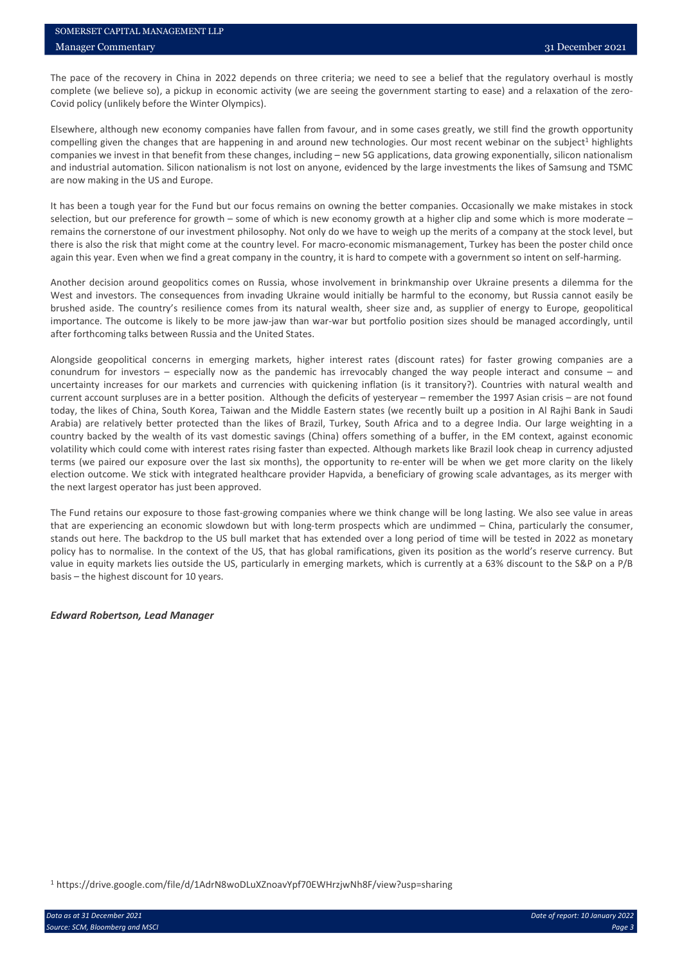SOMERSET CAPITAL MANAGEMENT LLP<br>
Manager Commentary<br>
The pace of the recovery in China in 2022 depends on three criteria; we need to see a belief that the regulatory overhaul is mostly<br>
complete (we believe so), a pickup i SOMERSET CAPITAL MANAGEMENT LLP<br>
Manager Commentary<br>
The pace of the recovery in China in 2022 depends on three criteria; we need to see a belief that the regulatory overhaul is mostly<br>
complete (we believe so), a pickup i SOMERSET CAPITAL MANAGEMENT LLP<br>
Manager Commentary<br>
The pace of the recovery in China in 2022 depends on three criteria; we need to see a belief that the regulatory overhaul<br>
complete (we believe so), a pickup in economic SOMERSET CAPITAL MANAGEMENT LLP<br>
Manager Commentary<br>
The pace of the recovery in China in 2022 depends on three criteria; we need to see a belief that the regulatory overhaul is mostly<br>
domplete (we believe so), a pickup i SOMERSET CAPITAL MANAGEMENT LI.P<br>
31 December 2021<br>
The pace of the recovery in China in 2022 depends on three criteria; we need to see a belief that the regulatory overhaul is mostly<br>
complete (we believe so), a pickup in SOMERSET CAPITAL MANAGEMENT LLP<br>
Manager Commentary<br>
The pace of the recovery in China in 2022 depends on three criteria; we need to see a belief that the regulatory overhaul is mostly<br>
complete (we believe so), a pickup i SOMERSET CAPITAL MANAGEMENT LLP<br>
31 December 2021<br>
The pace of the recovery in China in 2022 depends on three criteria; we need to see a belief that the regulatory overhaul is mostly<br>
complete (we believe sol), a pickup in **SOMERSET CAPITAL MANAGEMENT LLP**<br> **Manager Commentary**<br>
The pace of the recovery in China in 2022 depends on three criteria; we need to see a belief that the regulatory<br>
it complete (we believe so), a pickup in economic a SOMERSET CAPTIAL MANAGEMENT LLP<br>
Manager Commentary<br>
The pace of the recovery in China in 2022 depends on three criteria; we need to see a belief that the regulatory overhaul is mostly<br>
Covid policy (unlikely before the Wi sontreast CAPITAI. MAYAGEMENT LLP<br>The pace of the recovery in China in 2022 depends on three criteria; we need to see a belief that the regulatory overhaul is mostly<br>Complete (we believe so), a pickup in economic activity SOMERSET CAPTTAI. MANXAGEMENT LIP<br>
Manager Commentary<br>
The pace of the recovery in China in 2022 depends on three criteria; we need to see a belief that the regulatory overhaul is mostly<br>
complete (we believe so), a pickup SOMIERSENT CONFITAL MANANGEMIENT LLP<br>
Manager Commentary<br>
The pace of the recovery in China in 2022 depends on three criteria; we need to see a belief that the regulatory overhaul is mostly<br>
Complete (we believe so), a plc

sontexer CAPTAL MANAGEMENT LLP<br>
Manager Commentary<br>
The pace of the recovery in China in 2022 depends on three criteria; we need to see a belief that the regulatory overhaul is mostly<br>
complete (we believe so), a pickup in SOMERSET CAPTAL MANAGEMENT LLP<br>
Manuger Commentary<br>
The pace of the recovery in China in 2022 depends on three criteria, we need to see a belief that the regulatory overhaul is mostly<br>
complete (we believe so), a pickup in SYAMYRSENT CAPITAT, MAXYAGY-MINT 1.19<br>
Manager Commentary<br>
The pace of the recovery in China in 2022 depends on three criteria; we need to see a belief that the regulatory overhaul is mostly<br>
complete (we believe so), a pi SOMERSET CAPTTAL SJAANGENERY LLP<br>
Manager Commentary<br>
The pasce of the recovery in China in 2022 depends on three criterias, we need to see a belief that the regulatory overhaul is mostly<br>
Convided policy (unlikely before Manager Commentary 311 December 2021<br>
Manager Commentary<br>
The pace of the recovery in China in 2022 depends on three criteria, we need to see a belief that the regulatory overhaul is mostly<br>
complete (we believe so), a pic

31 December 2021<br>
Manager Commentary<br>
The pasa of the recovery in China in 2022 depends on three criteria; we need to see a belief that the regulatory overhaul is mostly<br>
The pasa of the recovery in China in 2022 depends o The pace of the recovery in China in 2022 depends on three criteria, we need to see a belief that the regulatory overhaul is mostly<br>convid policy (unlikely before the Winter Olympics).<br>Covid policy (unlikely before the Win complete (we believe so), a) plokup in economic activity (we are seeing the government starting to ease) and a relaxation of the zero-Conung comparing that the pandemic product a comparist show fallen from favour, and in s Covid policy (unlikely before the Winter Olympics).<br>
Elsewhere, athtough new economy companies have fallen from favour, and in some cases greatly, we still find the growth opportunity<br>
Elsewhere, athtough new economy compa Elsewhere, although new economy companies have fallen from favour, and in some cases greatly, we still find the growth opportunity compelling given the change sine than the happening is and and and and and count pew techni Elsewhere, although new economy companies have Bilen form favour, and in some cases greatly, we still find the growth opportunity<br>companies we invest in that benefit from these changes, including – new SG applications, dat competing given the changes that are hoppening in and around new technologies. Our most recent webhave the subject<sup>1</sup> highlights<br>comparison we thus the hoppening in and around and around the vechnologies. Our most recent w companies we have at into heneft from these domest, including – new 5G applications, data growing exponentially, slicon nationalism<br>and industrial automation. Slicon nationalism is not lost on anyone, evidenced by the larg and industrial automation. Slinon nationalism is not lost on anyone, evidenced by the large investments the likes of Samsung and TSMC<br>are now making in the US and Europe.<br>
In this been a trough year for the Fund but our fo are now making in the US and Europe.<br>
It has been a tough year for the Fund but our focus remains on owning the better companies. Occasionally we make mistakes in stock<br>
the las been a tough year for the Fund but our focus It has been a tough year for the Fund but our focus remains on owning the better companies. Occasionally we make mitatake in stock estection, but our preference for growth - some of which is new company conth at a higer cl It has been a tough year for the Fund but un' foust remains on owning the better companies. Oceasionally we make misste<br>Here in a proportion but our preference for growth – some of which is new economy growth at a ligher d remains the conversione of our investment philosophy, Not only do we have to welgi up the metris of a company at the station of the metris of a company in the courty, it is hard to compete with a government so intered in d there is also the risk that might come at the country level. For macro-economic miximangement, Turkey has been the position his consumed in the controllid once the position are and the consumed mathem are a<br>again this year again this year. Even when we find a great company in the country, it is hard to compete with a government so internt on self-harming.<br>Another decision around geopolitics comes on Russia, whose involvement in brinkmanship Another decision around geopolitics comes on Russia, whose involvement in brinkmanship over Ukraine presents a dilemma for the consequences for minumicality are context on minustions, The context solitions would infinibly Another decision around geopolitics comes on Russia, whose involvement in brinkmanship over Ukraine presents a diferminal for the explored the US, and the United assets. The constructions is the US increase the US increase West and investors. The consequences from invading Ukriane would initially be harmful to the economy, but Russia can<br>brushed aside. The country's resilience comes from its natural wealth, sheer size and, as supplier of ene after forthcoming talks between Russia and the United States.<br>Alongside geopolitical concerns in emerging markets, higher interest rates (discount rates) for faster growindrom for Investors — especially now as the pandemic

<sup>1</sup> https://drive.google.com/file/d/1AdrN8woDLuXZnoavYpf70EWHrzjwNh8F/view?usp=sharing